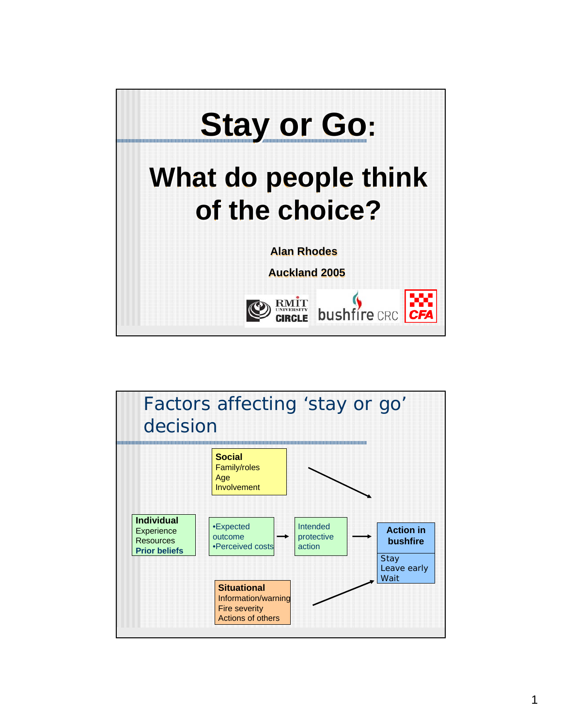

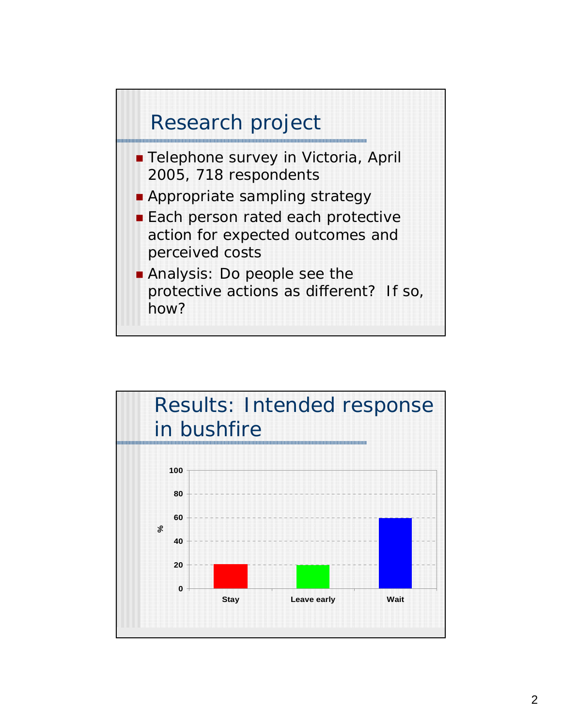

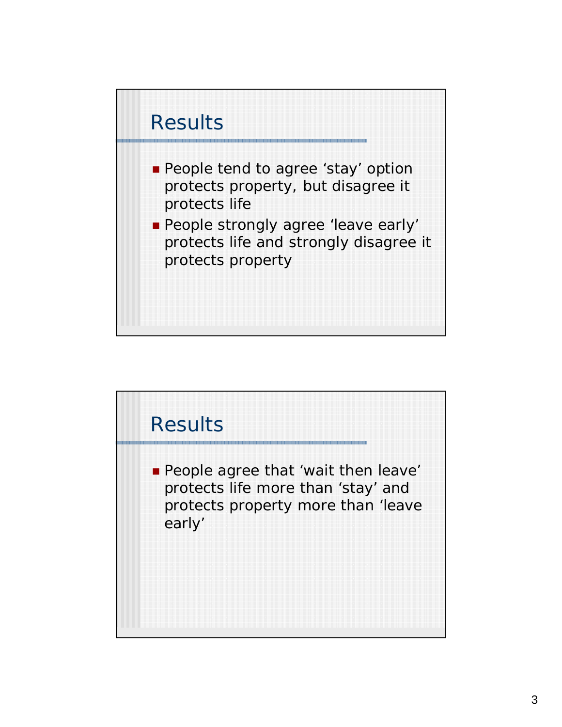

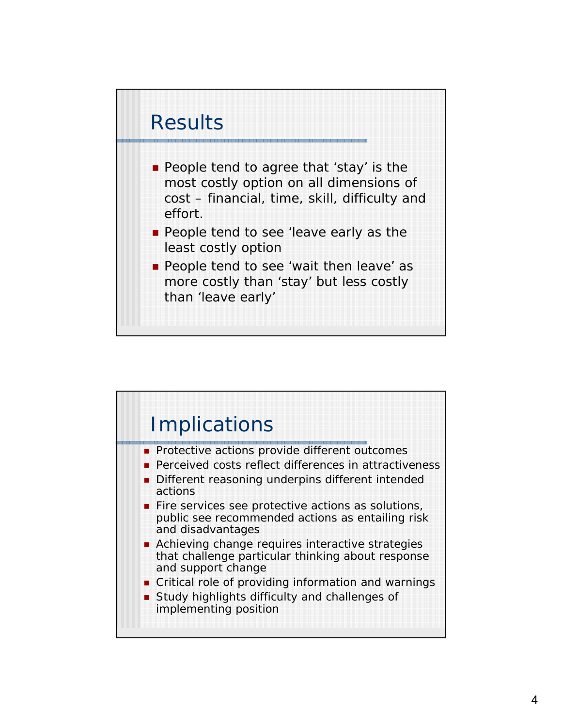